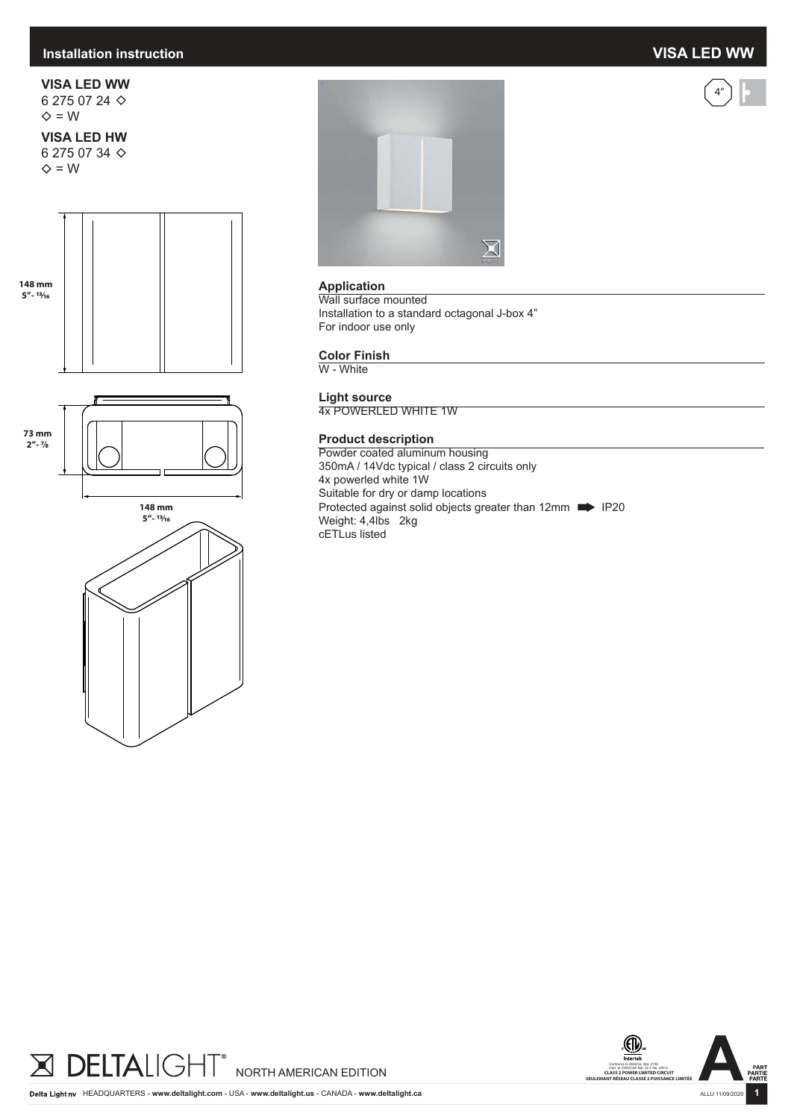## **Installation instruction VISA LED WW**



**VISA LED WW** 6 275 07 24  $\diamond$  = W

### **VISA LED HW** 6 275 07 34

 $\diamond$  = W









### **Application**

Wall surface mounted Installation to a standard octagonal J-box 4" For indoor use only

#### **Color Finish**

W - White

**Light source** 4x POWERLED WHITE 1W

#### **Product description**

Powder coated aluminum housing 350mA / 14Vdc typical / class 2 circuits only 4x powerled white 1W Suitable for dry or damp locations Protected against solid objects greater than 12mm **IP20** Weight: 4,4lbs 2kg cETLus listed



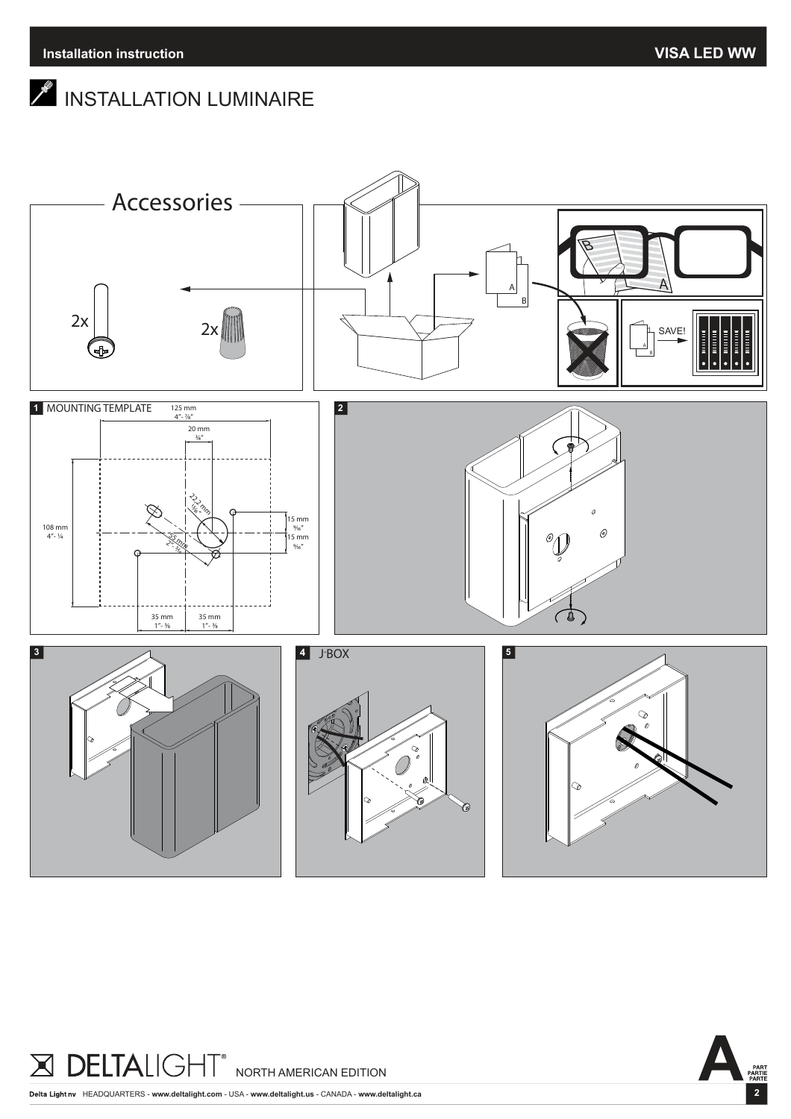# $\mathscr{I}$  INSTALLATION LUMINAIRE



**DELTALIGH**  $\blacktriangleright$ ┑╽ NORTH AMERICAN EDITION

HEADQUARTERS - **www.deltalight.com** - USA - **www.deltalight.us** - CANADA - **www.deltalight.ca**